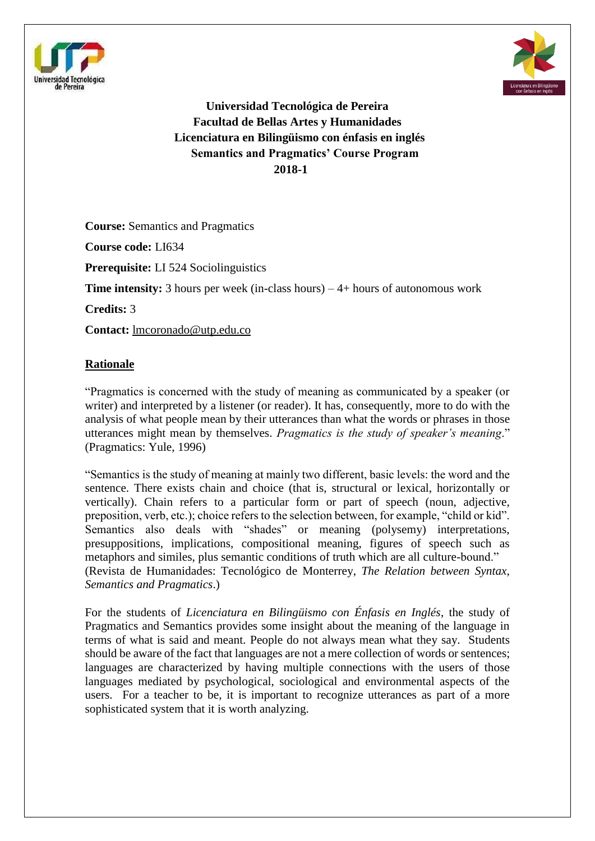



**Universidad Tecnológica de Pereira Facultad de Bellas Artes y Humanidades Licenciatura en Bilingüismo con énfasis en inglés Semantics and Pragmatics' Course Program 2018-1**

**Course:** Semantics and Pragmatics **Course code:** LI634 **Prerequisite:** LI 524 Sociolinguistics **Time intensity:** 3 hours per week (in-class hours) – 4+ hours of autonomous work **Credits:** 3 **Contact:** [lmcoronado@utp.edu.co](mailto:lmcoronado@utp.edu.co)

## **Rationale**

"Pragmatics is concerned with the study of meaning as communicated by a speaker (or writer) and interpreted by a listener (or reader). It has, consequently, more to do with the analysis of what people mean by their utterances than what the words or phrases in those utterances might mean by themselves. *Pragmatics is the study of speaker's meaning*." (Pragmatics: Yule, 1996)

"Semantics is the study of meaning at mainly two different, basic levels: the word and the sentence. There exists chain and choice (that is, structural or lexical, horizontally or vertically). Chain refers to a particular form or part of speech (noun, adjective, preposition, verb, etc.); choice refers to the selection between, for example, "child or kid". Semantics also deals with "shades" or meaning (polysemy) interpretations, presuppositions, implications, compositional meaning, figures of speech such as metaphors and similes, plus semantic conditions of truth which are all culture-bound." (Revista de Humanidades: Tecnológico de Monterrey, *The Relation between Syntax, Semantics and Pragmatics*.)

For the students of *Licenciatura en Bilingüismo con Énfasis en Inglés*, the study of Pragmatics and Semantics provides some insight about the meaning of the language in terms of what is said and meant. People do not always mean what they say. Students should be aware of the fact that languages are not a mere collection of words or sentences; languages are characterized by having multiple connections with the users of those languages mediated by psychological, sociological and environmental aspects of the users. For a teacher to be, it is important to recognize utterances as part of a more sophisticated system that it is worth analyzing.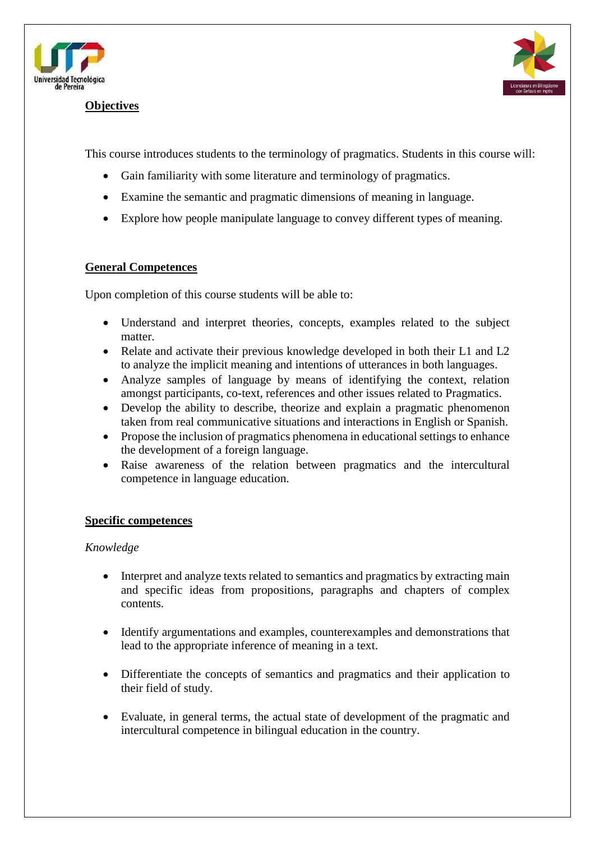

#### **Objectives**



This course introduces students to the terminology of pragmatics. Students in this course will:

- Gain familiarity with some literature and terminology of pragmatics.
- Examine the semantic and pragmatic dimensions of meaning in language.
- Explore how people manipulate language to convey different types of meaning.

#### **General Competences**

Upon completion of this course students will be able to:

- Understand and interpret theories, concepts, examples related to the subject matter.
- Relate and activate their previous knowledge developed in both their L1 and L2 to analyze the implicit meaning and intentions of utterances in both languages.
- Analyze samples of language by means of identifying the context, relation amongst participants, co-text, references and other issues related to Pragmatics.
- Develop the ability to describe, theorize and explain a pragmatic phenomenon taken from real communicative situations and interactions in English or Spanish.
- Propose the inclusion of pragmatics phenomena in educational settings to enhance the development of a foreign language.
- Raise awareness of the relation between pragmatics and the intercultural competence in language education.

### **Specific competences**

#### *Knowledge*

- Interpret and analyze texts related to semantics and pragmatics by extracting main and specific ideas from propositions, paragraphs and chapters of complex contents.
- Identify argumentations and examples, counterexamples and demonstrations that lead to the appropriate inference of meaning in a text.
- Differentiate the concepts of semantics and pragmatics and their application to their field of study.
- Evaluate, in general terms, the actual state of development of the pragmatic and intercultural competence in bilingual education in the country.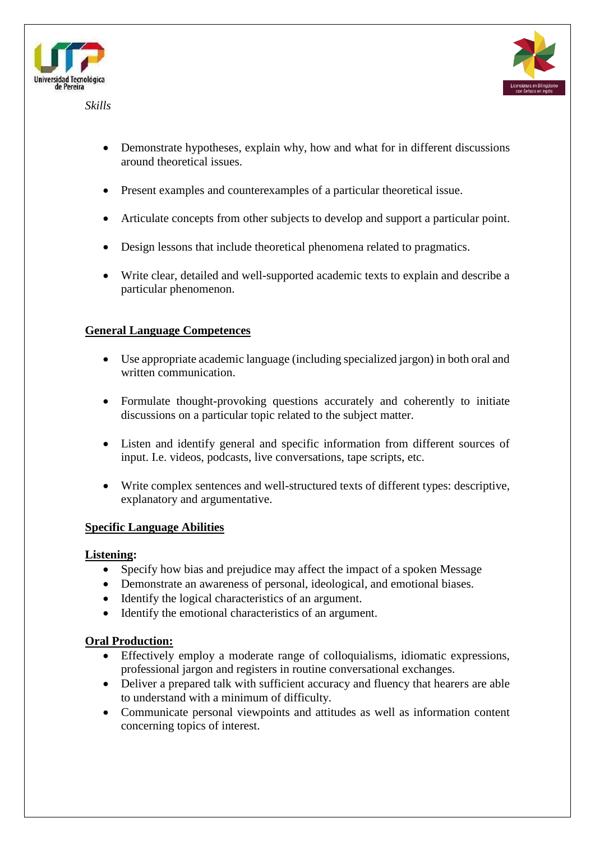

*Skills*



- Demonstrate hypotheses, explain why, how and what for in different discussions around theoretical issues.
- Present examples and counterexamples of a particular theoretical issue.
- Articulate concepts from other subjects to develop and support a particular point.
- Design lessons that include theoretical phenomena related to pragmatics.
- Write clear, detailed and well-supported academic texts to explain and describe a particular phenomenon.

# **General Language Competences**

- Use appropriate academic language (including specialized jargon) in both oral and written communication.
- Formulate thought-provoking questions accurately and coherently to initiate discussions on a particular topic related to the subject matter.
- Listen and identify general and specific information from different sources of input. I.e. videos, podcasts, live conversations, tape scripts, etc.
- Write complex sentences and well-structured texts of different types: descriptive, explanatory and argumentative.

# **Specific Language Abilities**

# **Listening:**

- Specify how bias and prejudice may affect the impact of a spoken Message
- Demonstrate an awareness of personal, ideological, and emotional biases.
- Identify the logical characteristics of an argument.
- Identify the emotional characteristics of an argument.

# **Oral Production:**

- Effectively employ a moderate range of colloquialisms, idiomatic expressions, professional jargon and registers in routine conversational exchanges.
- Deliver a prepared talk with sufficient accuracy and fluency that hearers are able to understand with a minimum of difficulty.
- Communicate personal viewpoints and attitudes as well as information content concerning topics of interest.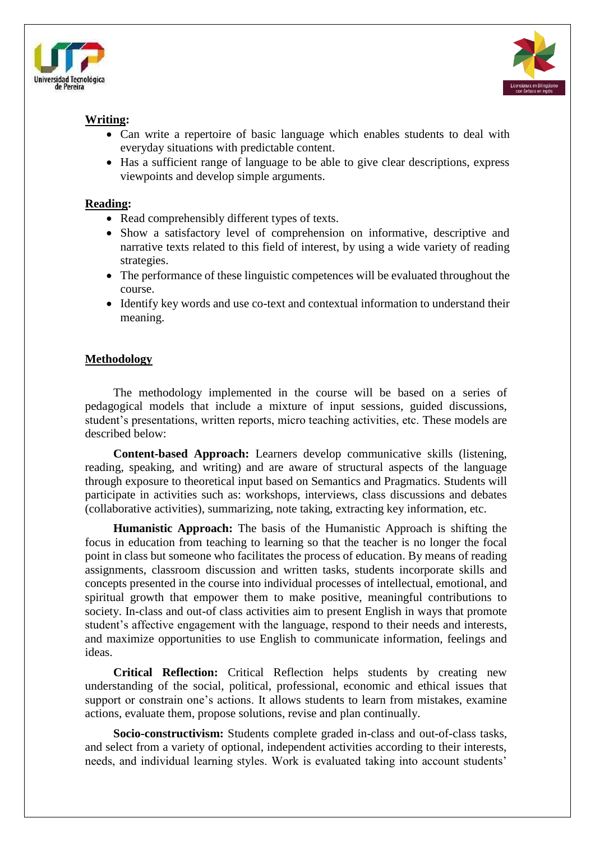



## **Writing:**

- Can write a repertoire of basic language which enables students to deal with everyday situations with predictable content.
- Has a sufficient range of language to be able to give clear descriptions, express viewpoints and develop simple arguments.

#### **Reading:**

- Read comprehensibly different types of texts.
- Show a satisfactory level of comprehension on informative, descriptive and narrative texts related to this field of interest, by using a wide variety of reading strategies.
- The performance of these linguistic competences will be evaluated throughout the course.
- Identify key words and use co-text and contextual information to understand their meaning.

### **Methodology**

The methodology implemented in the course will be based on a series of pedagogical models that include a mixture of input sessions, guided discussions, student's presentations, written reports, micro teaching activities, etc. These models are described below:

**Content-based Approach:** Learners develop communicative skills (listening, reading, speaking, and writing) and are aware of structural aspects of the language through exposure to theoretical input based on Semantics and Pragmatics. Students will participate in activities such as: workshops, interviews, class discussions and debates (collaborative activities), summarizing, note taking, extracting key information, etc.

**Humanistic Approach:** The basis of the Humanistic Approach is shifting the focus in education from teaching to learning so that the teacher is no longer the focal point in class but someone who facilitates the process of education. By means of reading assignments, classroom discussion and written tasks, students incorporate skills and concepts presented in the course into individual processes of intellectual, emotional, and spiritual growth that empower them to make positive, meaningful contributions to society. In-class and out-of class activities aim to present English in ways that promote student's affective engagement with the language, respond to their needs and interests, and maximize opportunities to use English to communicate information, feelings and ideas.

**Critical Reflection:** Critical Reflection helps students by creating new understanding of the social, political, professional, economic and ethical issues that support or constrain one's actions. It allows students to learn from mistakes, examine actions, evaluate them, propose solutions, revise and plan continually.

**Socio-constructivism:** Students complete graded in-class and out-of-class tasks, and select from a variety of optional, independent activities according to their interests, needs, and individual learning styles. Work is evaluated taking into account students'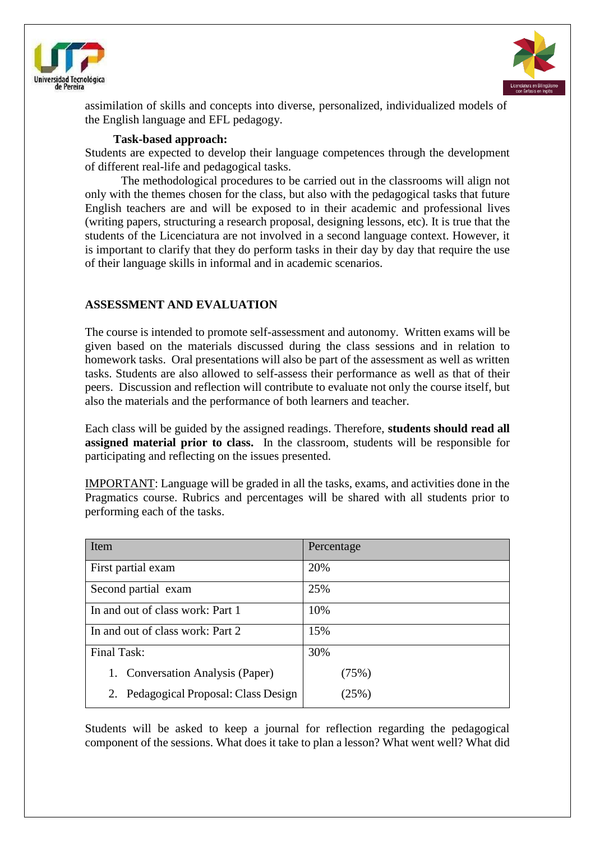



assimilation of skills and concepts into diverse, personalized, individualized models of the English language and EFL pedagogy.

#### **Task-based approach:**

Students are expected to develop their language competences through the development of different real-life and pedagogical tasks.

The methodological procedures to be carried out in the classrooms will align not only with the themes chosen for the class, but also with the pedagogical tasks that future English teachers are and will be exposed to in their academic and professional lives (writing papers, structuring a research proposal, designing lessons, etc). It is true that the students of the Licenciatura are not involved in a second language context. However, it is important to clarify that they do perform tasks in their day by day that require the use of their language skills in informal and in academic scenarios.

## **ASSESSMENT AND EVALUATION**

The course is intended to promote self-assessment and autonomy. Written exams will be given based on the materials discussed during the class sessions and in relation to homework tasks. Oral presentations will also be part of the assessment as well as written tasks. Students are also allowed to self-assess their performance as well as that of their peers. Discussion and reflection will contribute to evaluate not only the course itself, but also the materials and the performance of both learners and teacher.

Each class will be guided by the assigned readings. Therefore, **students should read all assigned material prior to class.** In the classroom, students will be responsible for participating and reflecting on the issues presented.

IMPORTANT: Language will be graded in all the tasks, exams, and activities done in the Pragmatics course. Rubrics and percentages will be shared with all students prior to performing each of the tasks.

| Item                                     | Percentage |
|------------------------------------------|------------|
| First partial exam                       | 20%        |
| Second partial exam                      | 25%        |
| In and out of class work: Part 1         | 10%        |
| In and out of class work: Part 2         | 15%        |
| Final Task:                              | 30%        |
| 1. Conversation Analysis (Paper)         | (75%)      |
| Pedagogical Proposal: Class Design<br>2. | (25%)      |

Students will be asked to keep a journal for reflection regarding the pedagogical component of the sessions. What does it take to plan a lesson? What went well? What did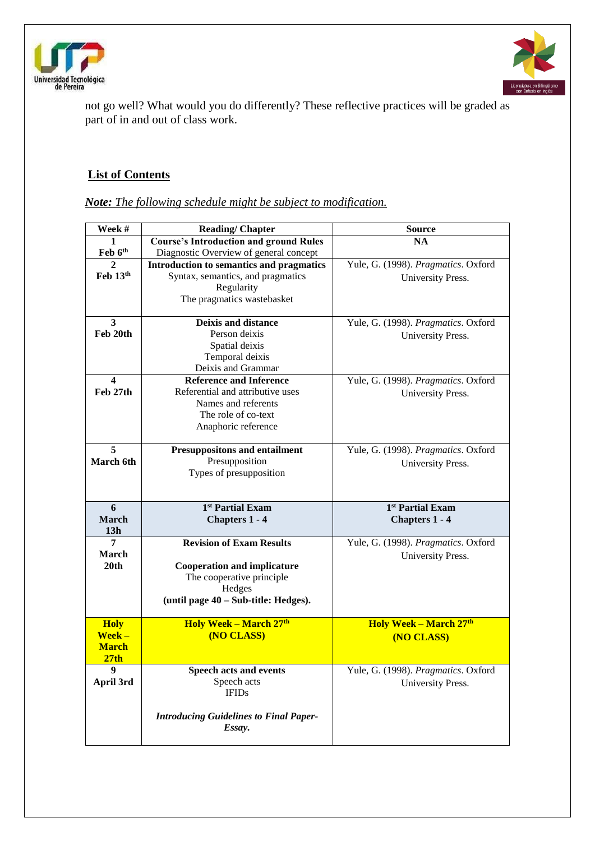



not go well? What would you do differently? These reflective practices will be graded as part of in and out of class work.

# **List of Contents**

| Week #                          | <b>Reading/Chapter</b>                        | <b>Source</b>                       |
|---------------------------------|-----------------------------------------------|-------------------------------------|
| 1                               | <b>Course's Introduction and ground Rules</b> | <b>NA</b>                           |
| Feb 6th                         | Diagnostic Overview of general concept        |                                     |
| 2                               | Introduction to semantics and pragmatics      | Yule, G. (1998). Pragmatics. Oxford |
| $\mathbf{Feh}$ 13 <sup>th</sup> | Syntax, semantics, and pragmatics             | University Press.                   |
|                                 | Regularity                                    |                                     |
|                                 | The pragmatics wastebasket                    |                                     |
|                                 |                                               |                                     |
| $\overline{\mathbf{3}}$         | <b>Deixis and distance</b>                    | Yule, G. (1998). Pragmatics. Oxford |
| Feb 20th                        | Person deixis                                 | University Press.                   |
|                                 | Spatial deixis                                |                                     |
|                                 | Temporal deixis                               |                                     |
|                                 | Deixis and Grammar                            |                                     |
| $\boldsymbol{4}$                | <b>Reference and Inference</b>                | Yule, G. (1998). Pragmatics. Oxford |
| Feb 27th                        | Referential and attributive uses              | University Press.                   |
|                                 | Names and referents                           |                                     |
|                                 | The role of co-text                           |                                     |
|                                 | Anaphoric reference                           |                                     |
| 5                               | <b>Presuppositons and entailment</b>          | Yule, G. (1998). Pragmatics. Oxford |
| March 6th                       | Presupposition                                |                                     |
|                                 | Types of presupposition                       | University Press.                   |
|                                 |                                               |                                     |
|                                 |                                               |                                     |
|                                 |                                               |                                     |
| 6                               | 1 <sup>st</sup> Partial Exam                  | 1 <sup>st</sup> Partial Exam        |
| <b>March</b>                    | Chapters 1 - 4                                | <b>Chapters 1 - 4</b>               |
| 13 <sub>h</sub>                 |                                               |                                     |
| 7                               | <b>Revision of Exam Results</b>               | Yule, G. (1998). Pragmatics. Oxford |
| March                           |                                               | University Press.                   |
| 20 <sub>th</sub>                | <b>Cooperation and implicature</b>            |                                     |
|                                 | The cooperative principle                     |                                     |
|                                 | Hedges                                        |                                     |
|                                 | (until page 40 – Sub-title: Hedges).          |                                     |
|                                 |                                               |                                     |
| <b>Holy</b>                     | Holy Week - March 27th                        | <b>Holy Week - March 27th</b>       |
| $Week -$<br><b>March</b>        | (NO CLASS)                                    | (NO CLASS)                          |
| 27 <sub>th</sub>                |                                               |                                     |
| 9                               | Speech acts and events                        | Yule, G. (1998). Pragmatics. Oxford |
| April 3rd                       | Speech acts                                   |                                     |
|                                 | <b>IFIDs</b>                                  | University Press.                   |
|                                 |                                               |                                     |
|                                 | <b>Introducing Guidelines to Final Paper-</b> |                                     |
|                                 | Essay.                                        |                                     |

*Note: The following schedule might be subject to modification.*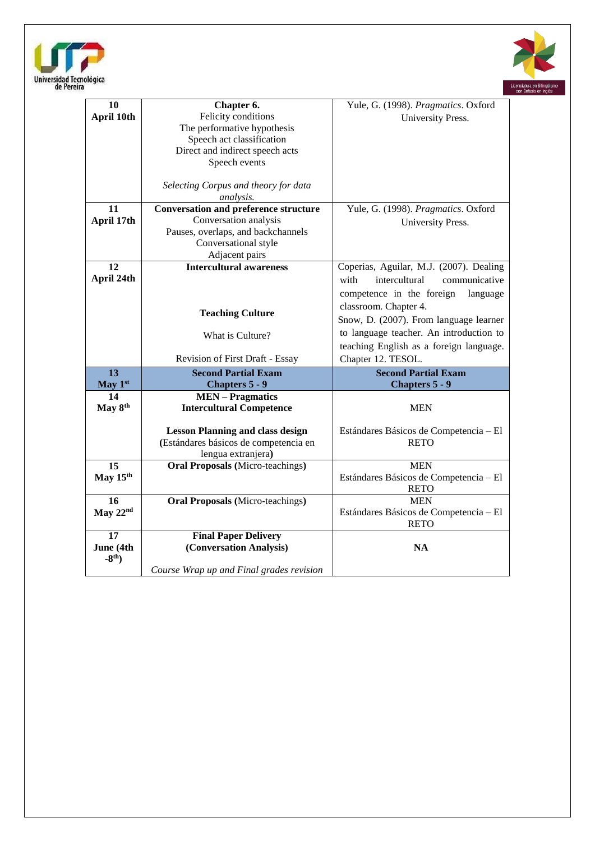



| 10              | Chapter 6.                                                                       | Yule, G. (1998). Pragmatics. Oxford                   |
|-----------------|----------------------------------------------------------------------------------|-------------------------------------------------------|
| April 10th      | Felicity conditions                                                              | University Press.                                     |
|                 | The performative hypothesis                                                      |                                                       |
|                 | Speech act classification                                                        |                                                       |
|                 | Direct and indirect speech acts                                                  |                                                       |
|                 | Speech events                                                                    |                                                       |
|                 |                                                                                  |                                                       |
|                 | Selecting Corpus and theory for data                                             |                                                       |
|                 | analysis.                                                                        |                                                       |
| 11              | <b>Conversation and preference structure</b>                                     | Yule, G. (1998). Pragmatics. Oxford                   |
| April 17th      | Conversation analysis                                                            | University Press.                                     |
|                 | Pauses, overlaps, and backchannels                                               |                                                       |
|                 | Conversational style                                                             |                                                       |
|                 | Adjacent pairs                                                                   |                                                       |
| 12              | <b>Intercultural awareness</b>                                                   | Coperias, Aguilar, M.J. (2007). Dealing               |
| April 24th      |                                                                                  | with<br>intercultural<br>communicative                |
|                 |                                                                                  | competence in the foreign<br>language                 |
|                 |                                                                                  | classroom. Chapter 4.                                 |
|                 | <b>Teaching Culture</b>                                                          | Snow, D. (2007). From language learner                |
|                 |                                                                                  | to language teacher. An introduction to               |
|                 | What is Culture?                                                                 | teaching English as a foreign language.               |
|                 |                                                                                  |                                                       |
|                 | <b>Revision of First Draft - Essay</b>                                           | Chapter 12. TESOL.                                    |
| 13              | <b>Second Partial Exam</b>                                                       | <b>Second Partial Exam</b>                            |
| May 1st         | Chapters 5 - 9                                                                   | Chapters 5 - 9                                        |
| 14              | <b>MEN</b> – Pragmatics                                                          |                                                       |
| May 8th         | <b>Intercultural Competence</b>                                                  | <b>MEN</b>                                            |
|                 |                                                                                  |                                                       |
|                 | <b>Lesson Planning and class design</b><br>(Estándares básicos de competencia en | Estándares Básicos de Competencia - El<br><b>RETO</b> |
|                 | lengua extranjera)                                                               |                                                       |
| 15              | <b>Oral Proposals</b> (Micro-teachings)                                          | <b>MEN</b>                                            |
| May 15th        |                                                                                  | Estándares Básicos de Competencia - El                |
|                 |                                                                                  | <b>RETO</b>                                           |
| $\overline{16}$ | <b>Oral Proposals</b> (Micro-teachings)                                          | <b>MEN</b>                                            |
| May 22nd        |                                                                                  | Estándares Básicos de Competencia - El                |
|                 |                                                                                  | <b>RETO</b>                                           |
| 17              | <b>Final Paper Delivery</b>                                                      |                                                       |
| June (4th       | (Conversation Analysis)                                                          | <b>NA</b>                                             |
| $-8th$ )        |                                                                                  |                                                       |
|                 | Course Wrap up and Final grades revision                                         |                                                       |